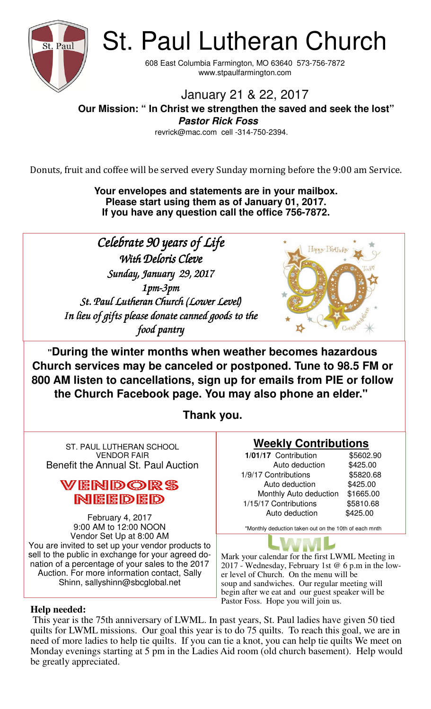

St. Paul Lutheran Church

608 East Columbia Farmington, MO 63640 573-756-7872 www.stpaulfarmington.com

January 21 & 22, 2017

 **Our Mission: " In Christ we strengthen the saved and seek the lost" Pastor Rick Foss** 

revrick@mac.com cell -314-750-2394.

Donuts, fruit and coffee will be served every Sunday morning before the 9:00 am Service.

**Your envelopes and statements are in your mailbox. Please start using them as of January 01, 2017. If you have any question call the office 756-7872.** 

Celebrate 90 years of Life With Deloris Cleve *Sunday, January 29, 2017* 1pm-3pm St. Paul Lutheran Church (Lower Level) In lieu of gifts please donate canned goods to the *food pantry* 



**"During the winter months when weather becomes hazardous Church services may be canceled or postponed. Tune to 98.5 FM or 800 AM listen to cancellations, sign up for emails from PIE or follow the Church Facebook page. You may also phone an elder."** 

**Thank you.**

ST. PAUL LUTHERAN SCHOOL VENDOR FAIR Benefit the Annual St. Paul Auction

# VENDORS NEEDED

February 4, 2017 9:00 AM to 12:00 NOON Vendor Set Up at 8:00 AM You are invited to set up your vendor products to sell to the public in exchange for your agreed donation of a percentage of your sales to the 2017 Auction. For more information contact, Sally Shinn, sallyshinn@sbcglobal.net

# **Weekly Contributions**

**1/01/17** Contribution \$5602.90 Auto deduction \$425.00 1/9/17 Contributions \$5820.68 Auto deduction \$425.00 Monthly Auto deduction \$1665.00 1/15/17 Contributions \$5810.68 Auto deduction \$425.00

\*Monthly deduction taken out on the 10th of each mnth

Mark your calendar for the first LWML Meeting in 2017 - Wednesday, February 1st @ 6 p.m in the lower level of Church. On the menu will be soup and sandwiches. Our regular meeting will begin after we eat and our guest speaker will be Pastor Foss. Hope you will join us.

## **Help needed:**

 This year is the 75th anniversary of LWML. In past years, St. Paul ladies have given 50 tied quilts for LWML missions. Our goal this year is to do 75 quilts. To reach this goal, we are in need of more ladies to help tie quilts. If you can tie a knot, you can help tie quilts We meet on Monday evenings starting at 5 pm in the Ladies Aid room (old church basement). Help would be greatly appreciated.